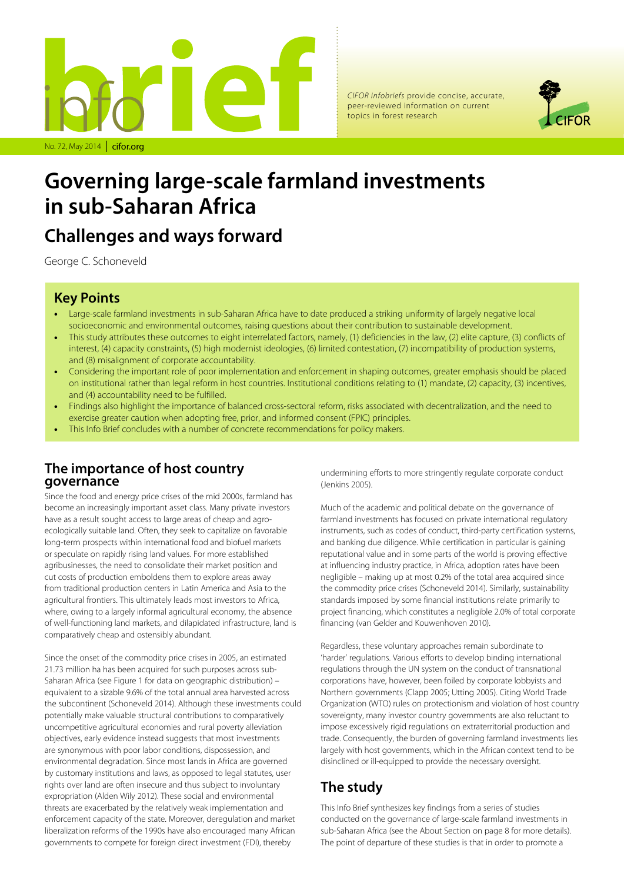

*CIFOR infobriefs* provide concise, accurate, peer-reviewed information on current topics in forest research



# **Governing large-scale farmland investments in sub-Saharan Africa**

# **Challenges and ways forward**

George C. Schoneveld

### **Key Points**

- Large-scale farmland investments in sub-Saharan Africa have to date produced a striking uniformity of largely negative local socioeconomic and environmental outcomes, raising questions about their contribution to sustainable development.
- This study attributes these outcomes to eight interrelated factors, namely, (1) deficiencies in the law, (2) elite capture, (3) conflicts of interest, (4) capacity constraints, (5) high modernist ideologies, (6) limited contestation, (7) incompatibility of production systems, and (8) misalignment of corporate accountability.
- Considering the important role of poor implementation and enforcement in shaping outcomes, greater emphasis should be placed on institutional rather than legal reform in host countries. Institutional conditions relating to (1) mandate, (2) capacity, (3) incentives, and (4) accountability need to be fulfilled.
- Findings also highlight the importance of balanced cross-sectoral reform, risks associated with decentralization, and the need to exercise greater caution when adopting free, prior, and informed consent (FPIC) principles.
- This Info Brief concludes with a number of concrete recommendations for policy makers.

### **The importance of host country governance**

Since the food and energy price crises of the mid 2000s, farmland has become an increasingly important asset class. Many private investors have as a result sought access to large areas of cheap and agroecologically suitable land. Often, they seek to capitalize on favorable long-term prospects within international food and biofuel markets or speculate on rapidly rising land values. For more established agribusinesses, the need to consolidate their market position and cut costs of production emboldens them to explore areas away from traditional production centers in Latin America and Asia to the agricultural frontiers. This ultimately leads most investors to Africa, where, owing to a largely informal agricultural economy, the absence of well-functioning land markets, and dilapidated infrastructure, land is comparatively cheap and ostensibly abundant.

Since the onset of the commodity price crises in 2005, an estimated 21.73 million ha has been acquired for such purposes across sub-Saharan Africa (see Figure 1 for data on geographic distribution) – equivalent to a sizable 9.6% of the total annual area harvested across the subcontinent (Schoneveld 2014). Although these investments could potentially make valuable structural contributions to comparatively uncompetitive agricultural economies and rural poverty alleviation objectives, early evidence instead suggests that most investments are synonymous with poor labor conditions, dispossession, and environmental degradation. Since most lands in Africa are governed by customary institutions and laws, as opposed to legal statutes, user rights over land are often insecure and thus subject to involuntary expropriation (Alden Wily 2012). These social and environmental threats are exacerbated by the relatively weak implementation and enforcement capacity of the state. Moreover, deregulation and market liberalization reforms of the 1990s have also encouraged many African governments to compete for foreign direct investment (FDI), thereby

undermining efforts to more stringently regulate corporate conduct (Jenkins 2005).

Much of the academic and political debate on the governance of farmland investments has focused on private international regulatory instruments, such as codes of conduct, third-party certification systems, and banking due diligence. While certification in particular is gaining reputational value and in some parts of the world is proving effective at influencing industry practice, in Africa, adoption rates have been negligible – making up at most 0.2% of the total area acquired since the commodity price crises (Schoneveld 2014). Similarly, sustainability standards imposed by some financial institutions relate primarily to project financing, which constitutes a negligible 2.0% of total corporate financing (van Gelder and Kouwenhoven 2010).

Regardless, these voluntary approaches remain subordinate to 'harder' regulations. Various efforts to develop binding international regulations through the UN system on the conduct of transnational corporations have, however, been foiled by corporate lobbyists and Northern governments (Clapp 2005; Utting 2005). Citing World Trade Organization (WTO) rules on protectionism and violation of host country sovereignty, many investor country governments are also reluctant to impose excessively rigid regulations on extraterritorial production and trade. Consequently, the burden of governing farmland investments lies largely with host governments, which in the African context tend to be disinclined or ill-equipped to provide the necessary oversight.

# **The study**

This Info Brief synthesizes key findings from a series of studies conducted on the governance of large-scale farmland investments in sub-Saharan Africa (see the About Section on page 8 for more details). The point of departure of these studies is that in order to promote a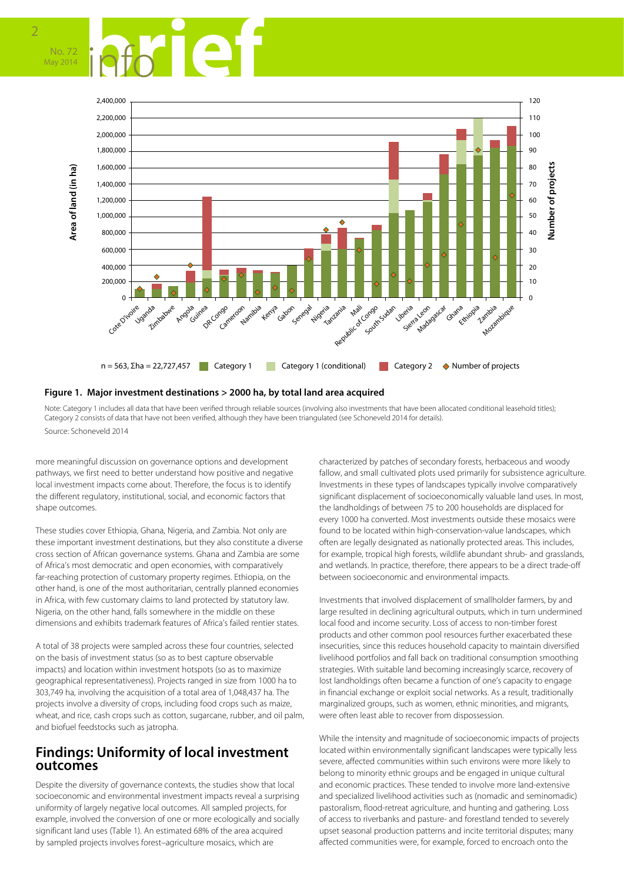



#### **Figure 1. Major investment destinations > 2000 ha, by total land area acquired**

Note: Category 1 includes all data that have been verified through reliable sources (involving also investments that have been allocated conditional leasehold titles); Category 2 consists of data that have not been verified, although they have been triangulated (see Schoneveld 2014 for details). Source: Schoneveld 2014

more meaningful discussion on governance options and development pathways, we first need to better understand how positive and negative local investment impacts come about. Therefore, the focus is to identify the different regulatory, institutional, social, and economic factors that shape outcomes.

These studies cover Ethiopia, Ghana, Nigeria, and Zambia. Not only are these important investment destinations, but they also constitute a diverse cross section of African governance systems. Ghana and Zambia are some of Africa's most democratic and open economies, with comparatively far-reaching protection of customary property regimes. Ethiopia, on the other hand, is one of the most authoritarian, centrally planned economies in Africa, with few customary claims to land protected by statutory law. Nigeria, on the other hand, falls somewhere in the middle on these dimensions and exhibits trademark features of Africa's failed rentier states.

A total of 38 projects were sampled across these four countries, selected on the basis of investment status (so as to best capture observable impacts) and location within investment hotspots (so as to maximize geographical representativeness). Projects ranged in size from 1000 ha to 303,749 ha, involving the acquisition of a total area of 1,048,437 ha. The projects involve a diversity of crops, including food crops such as maize, wheat, and rice, cash crops such as cotton, sugarcane, rubber, and oil palm, and biofuel feedstocks such as jatropha.

#### **Findings: Uniformity of local investment outcomes**

Despite the diversity of governance contexts, the studies show that local socioeconomic and environmental investment impacts reveal a surprising uniformity of largely negative local outcomes. All sampled projects, for example, involved the conversion of one or more ecologically and socially significant land uses (Table 1). An estimated 68% of the area acquired by sampled projects involves forest–agriculture mosaics, which are

characterized by patches of secondary forests, herbaceous and woody fallow, and small cultivated plots used primarily for subsistence agriculture. Investments in these types of landscapes typically involve comparatively significant displacement of socioeconomically valuable land uses. In most, the landholdings of between 75 to 200 households are displaced for every 1000 ha converted. Most investments outside these mosaics were found to be located within high-conservation-value landscapes, which often are legally designated as nationally protected areas. This includes, for example, tropical high forests, wildlife abundant shrub- and grasslands, and wetlands. In practice, therefore, there appears to be a direct trade-off between socioeconomic and environmental impacts.

Investments that involved displacement of smallholder farmers, by and large resulted in declining agricultural outputs, which in turn undermined local food and income security. Loss of access to non-timber forest products and other common pool resources further exacerbated these insecurities, since this reduces household capacity to maintain diversified livelihood portfolios and fall back on traditional consumption smoothing strategies. With suitable land becoming increasingly scarce, recovery of lost landholdings often became a function of one's capacity to engage in financial exchange or exploit social networks. As a result, traditionally marginalized groups, such as women, ethnic minorities, and migrants, were often least able to recover from dispossession.

While the intensity and magnitude of socioeconomic impacts of projects located within environmentally significant landscapes were typically less severe, affected communities within such environs were more likely to belong to minority ethnic groups and be engaged in unique cultural and economic practices. These tended to involve more land-extensive and specialized livelihood activities such as (nomadic and seminomadic) pastoralism, flood-retreat agriculture, and hunting and gathering. Loss of access to riverbanks and pasture- and forestland tended to severely upset seasonal production patterns and incite territorial disputes; many affected communities were, for example, forced to encroach onto the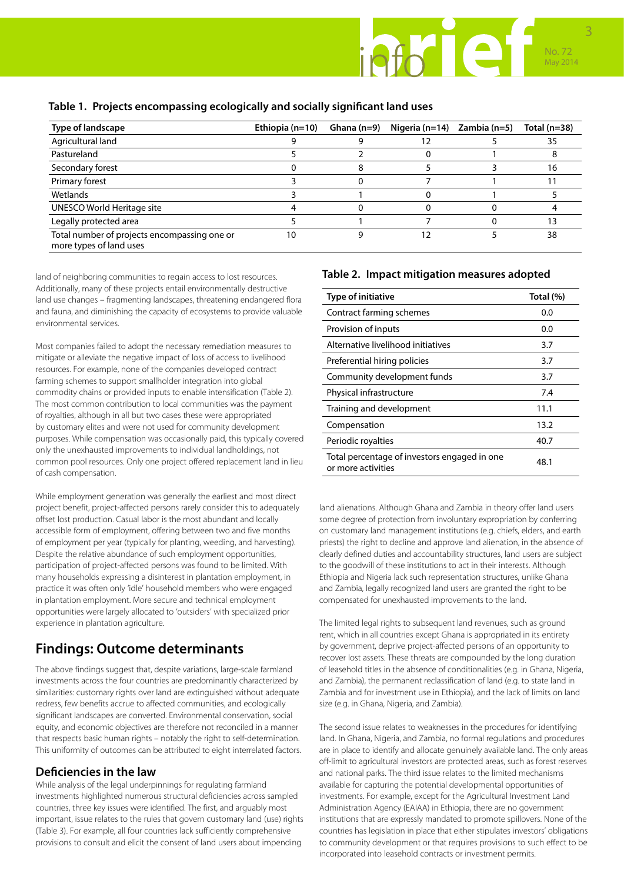#### **Table 1. Projects encompassing ecologically and socially significant land uses**

| Type of landscape                                                       | Ethiopia $(n=10)$ | Ghana $(n=9)$ | Nigeria (n=14) | Zambia (n=5) | Total $(n=38)$ |
|-------------------------------------------------------------------------|-------------------|---------------|----------------|--------------|----------------|
| Agricultural land                                                       |                   |               |                |              | 35             |
| Pastureland                                                             |                   |               |                |              |                |
| Secondary forest                                                        |                   |               |                |              | 16             |
| Primary forest                                                          |                   |               |                |              |                |
| Wetlands                                                                |                   |               |                |              |                |
| UNESCO World Heritage site                                              |                   |               |                |              |                |
| Legally protected area                                                  |                   |               |                |              |                |
| Total number of projects encompassing one or<br>more types of land uses | 10                |               | כו             |              | 38             |

land of neighboring communities to regain access to lost resources. Additionally, many of these projects entail environmentally destructive land use changes – fragmenting landscapes, threatening endangered flora and fauna, and diminishing the capacity of ecosystems to provide valuable environmental services.

Most companies failed to adopt the necessary remediation measures to mitigate or alleviate the negative impact of loss of access to livelihood resources. For example, none of the companies developed contract farming schemes to support smallholder integration into global commodity chains or provided inputs to enable intensification (Table 2). The most common contribution to local communities was the payment of royalties, although in all but two cases these were appropriated by customary elites and were not used for community development purposes. While compensation was occasionally paid, this typically covered only the unexhausted improvements to individual landholdings, not common pool resources. Only one project offered replacement land in lieu of cash compensation.

While employment generation was generally the earliest and most direct project benefit, project-affected persons rarely consider this to adequately offset lost production. Casual labor is the most abundant and locally accessible form of employment, offering between two and five months of employment per year (typically for planting, weeding, and harvesting). Despite the relative abundance of such employment opportunities, participation of project-affected persons was found to be limited. With many households expressing a disinterest in plantation employment, in practice it was often only 'idle' household members who were engaged in plantation employment. More secure and technical employment opportunities were largely allocated to 'outsiders' with specialized prior experience in plantation agriculture.

### **Findings: Outcome determinants**

The above findings suggest that, despite variations, large-scale farmland investments across the four countries are predominantly characterized by similarities: customary rights over land are extinguished without adequate redress, few benefits accrue to affected communities, and ecologically significant landscapes are converted. Environmental conservation, social equity, and economic objectives are therefore not reconciled in a manner that respects basic human rights – notably the right to self-determination. This uniformity of outcomes can be attributed to eight interrelated factors.

#### **Deficiencies in the law**

While analysis of the legal underpinnings for regulating farmland investments highlighted numerous structural deficiencies across sampled countries, three key issues were identified. The first, and arguably most important, issue relates to the rules that govern customary land (use) rights (Table 3). For example, all four countries lack sufficiently comprehensive provisions to consult and elicit the consent of land users about impending

#### **Table 2. Impact mitigation measures adopted**

| Type of initiative                                                 | Total (%) |
|--------------------------------------------------------------------|-----------|
| Contract farming schemes                                           | 0.0       |
| Provision of inputs                                                | 0.0       |
| Alternative livelihood initiatives                                 | 3.7       |
| Preferential hiring policies                                       | 3.7       |
| Community development funds                                        | 3.7       |
| Physical infrastructure                                            | 7.4       |
| Training and development                                           | 11.1      |
| Compensation                                                       | 13.2      |
| Periodic royalties                                                 | 40.7      |
| Total percentage of investors engaged in one<br>or more activities | 48.1      |

land alienations. Although Ghana and Zambia in theory offer land users some degree of protection from involuntary expropriation by conferring on customary land management institutions (e.g. chiefs, elders, and earth priests) the right to decline and approve land alienation, in the absence of clearly defined duties and accountability structures, land users are subject to the goodwill of these institutions to act in their interests. Although Ethiopia and Nigeria lack such representation structures, unlike Ghana and Zambia, legally recognized land users are granted the right to be compensated for unexhausted improvements to the land.

The limited legal rights to subsequent land revenues, such as ground rent, which in all countries except Ghana is appropriated in its entirety by government, deprive project-affected persons of an opportunity to recover lost assets. These threats are compounded by the long duration of leasehold titles in the absence of conditionalities (e.g. in Ghana, Nigeria, and Zambia), the permanent reclassification of land (e.g. to state land in Zambia and for investment use in Ethiopia), and the lack of limits on land size (e.g. in Ghana, Nigeria, and Zambia).

The second issue relates to weaknesses in the procedures for identifying land. In Ghana, Nigeria, and Zambia, no formal regulations and procedures are in place to identify and allocate genuinely available land. The only areas off-limit to agricultural investors are protected areas, such as forest reserves and national parks. The third issue relates to the limited mechanisms available for capturing the potential developmental opportunities of investments. For example, except for the Agricultural Investment Land Administration Agency (EAIAA) in Ethiopia, there are no government institutions that are expressly mandated to promote spillovers. None of the countries has legislation in place that either stipulates investors' obligations to community development or that requires provisions to such effect to be incorporated into leasehold contracts or investment permits.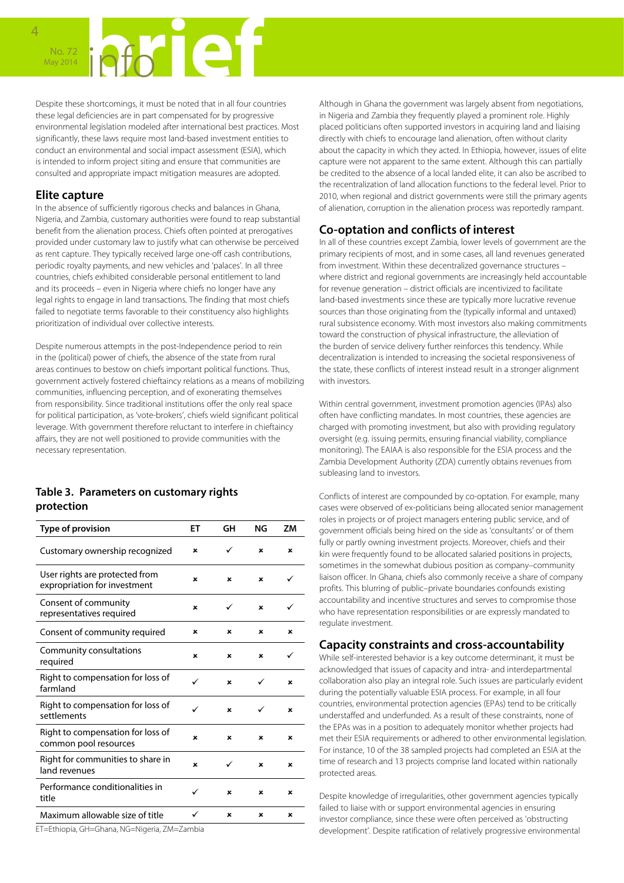Despite these shortcomings, it must be noted that in all four countries these legal deficiencies are in part compensated for by progressive environmental legislation modeled after international best practices. Most significantly, these laws require most land-based investment entities to conduct an environmental and social impact assessment (ESIA), which is intended to inform project siting and ensure that communities are consulted and appropriate impact mitigation measures are adopted.

#### **Elite capture**

4

In the absence of sufficiently rigorous checks and balances in Ghana, Nigeria, and Zambia, customary authorities were found to reap substantial benefit from the alienation process. Chiefs often pointed at prerogatives provided under customary law to justify what can otherwise be perceived as rent capture. They typically received large one-off cash contributions, periodic royalty payments, and new vehicles and 'palaces'. In all three countries, chiefs exhibited considerable personal entitlement to land and its proceeds – even in Nigeria where chiefs no longer have any legal rights to engage in land transactions. The finding that most chiefs failed to negotiate terms favorable to their constituency also highlights prioritization of individual over collective interests.

Despite numerous attempts in the post-Independence period to rein in the (political) power of chiefs, the absence of the state from rural areas continues to bestow on chiefs important political functions. Thus, government actively fostered chieftaincy relations as a means of mobilizing communities, influencing perception, and of exonerating themselves from responsibility. Since traditional institutions offer the only real space for political participation, as 'vote-brokers', chiefs wield significant political leverage. With government therefore reluctant to interfere in chieftaincy affairs, they are not well positioned to provide communities with the necessary representation.

#### **Table 3. Parameters on customary rights protection**

| Type of provision                                              | EТ | GH | ΝG                        | ΖM |
|----------------------------------------------------------------|----|----|---------------------------|----|
| Customary ownership recognized                                 | ×  | ✓  | ×                         | ×  |
| User rights are protected from<br>expropriation for investment | ×  | ×  | ×                         | ✓  |
| Consent of community<br>representatives required               | ×  | ✓  | $\boldsymbol{\mathsf{x}}$ | ✓  |
| Consent of community required                                  | ×  | ×  | ×                         | ×  |
| Community consultations<br>required                            | ×  | ×  | ×                         | ✓  |
| Right to compensation for loss of<br>farmland                  | ✓  | ×  | ✓                         | ×  |
| Right to compensation for loss of<br>settlements               | ✓  | ×  | ✓                         | ×  |
| Right to compensation for loss of<br>common pool resources     | ×  | ×  | ×                         | ×  |
| Right for communities to share in<br>land revenues             | ×  | ✓  | ×                         | ×  |
| Performance conditionalities in<br>title                       | ✓  | ×  | ×                         | ×  |
| Maximum allowable size of title                                | ✓  | ×  | ×                         | ×  |

ET=Ethiopia, GH=Ghana, NG=Nigeria, ZM=Zambia

Although in Ghana the government was largely absent from negotiations, in Nigeria and Zambia they frequently played a prominent role. Highly placed politicians often supported investors in acquiring land and liaising directly with chiefs to encourage land alienation, often without clarity about the capacity in which they acted. In Ethiopia, however, issues of elite capture were not apparent to the same extent. Although this can partially be credited to the absence of a local landed elite, it can also be ascribed to the recentralization of land allocation functions to the federal level. Prior to 2010, when regional and district governments were still the primary agents of alienation, corruption in the alienation process was reportedly rampant.

### **Co-optation and conflicts of interest**

In all of these countries except Zambia, lower levels of government are the primary recipients of most, and in some cases, all land revenues generated from investment. Within these decentralized governance structures – where district and regional governments are increasingly held accountable for revenue generation – district officials are incentivized to facilitate land-based investments since these are typically more lucrative revenue sources than those originating from the (typically informal and untaxed) rural subsistence economy. With most investors also making commitments toward the construction of physical infrastructure, the alleviation of the burden of service delivery further reinforces this tendency. While decentralization is intended to increasing the societal responsiveness of the state, these conflicts of interest instead result in a stronger alignment with investors.

Within central government, investment promotion agencies (IPAs) also often have conflicting mandates. In most countries, these agencies are charged with promoting investment, but also with providing regulatory oversight (e.g. issuing permits, ensuring financial viability, compliance monitoring). The EAIAA is also responsible for the ESIA process and the Zambia Development Authority (ZDA) currently obtains revenues from subleasing land to investors.

Conflicts of interest are compounded by co-optation. For example, many cases were observed of ex-politicians being allocated senior management roles in projects or of project managers entering public service, and of government officials being hired on the side as 'consultants' or of them fully or partly owning investment projects. Moreover, chiefs and their kin were frequently found to be allocated salaried positions in projects, sometimes in the somewhat dubious position as company–community liaison officer. In Ghana, chiefs also commonly receive a share of company profits. This blurring of public–private boundaries confounds existing accountability and incentive structures and serves to compromise those who have representation responsibilities or are expressly mandated to regulate investment.

#### **Capacity constraints and cross-accountability**

While self-interested behavior is a key outcome determinant, it must be acknowledged that issues of capacity and intra- and interdepartmental collaboration also play an integral role. Such issues are particularly evident during the potentially valuable ESIA process. For example, in all four countries, environmental protection agencies (EPAs) tend to be critically understaffed and underfunded. As a result of these constraints, none of the EPAs was in a position to adequately monitor whether projects had met their ESIA requirements or adhered to other environmental legislation. For instance, 10 of the 38 sampled projects had completed an ESIA at the time of research and 13 projects comprise land located within nationally protected areas.

Despite knowledge of irregularities, other government agencies typically failed to liaise with or support environmental agencies in ensuring investor compliance, since these were often perceived as 'obstructing development'. Despite ratification of relatively progressive environmental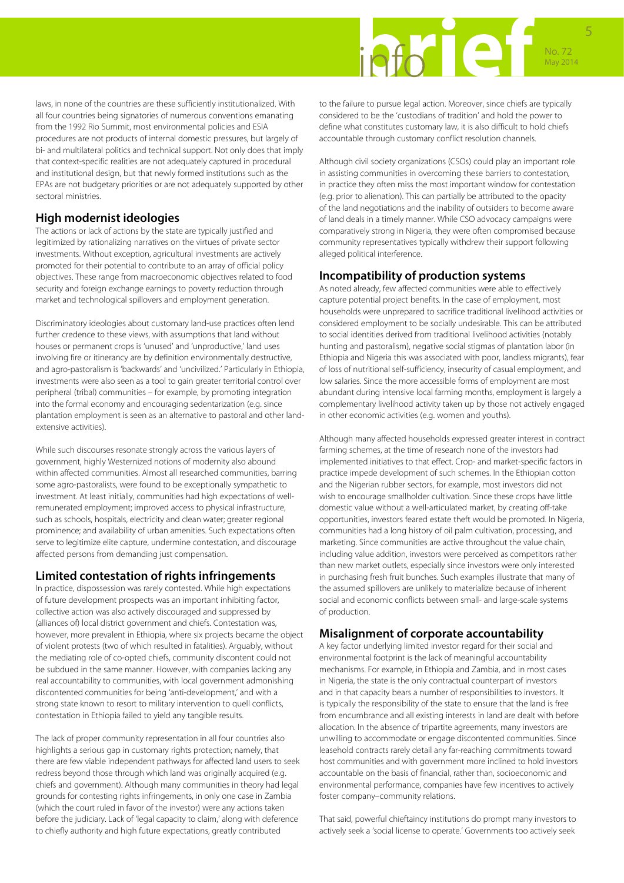# No. 72 May 2014 5

laws, in none of the countries are these sufficiently institutionalized. With all four countries being signatories of numerous conventions emanating from the 1992 Rio Summit, most environmental policies and ESIA procedures are not products of internal domestic pressures, but largely of bi- and multilateral politics and technical support. Not only does that imply that context-specific realities are not adequately captured in procedural and institutional design, but that newly formed institutions such as the EPAs are not budgetary priorities or are not adequately supported by other sectoral ministries.

#### **High modernist ideologies**

The actions or lack of actions by the state are typically justified and legitimized by rationalizing narratives on the virtues of private sector investments. Without exception, agricultural investments are actively promoted for their potential to contribute to an array of official policy objectives. These range from macroeconomic objectives related to food security and foreign exchange earnings to poverty reduction through market and technological spillovers and employment generation.

Discriminatory ideologies about customary land-use practices often lend further credence to these views, with assumptions that land without houses or permanent crops is 'unused' and 'unproductive,' land uses involving fire or itinerancy are by definition environmentally destructive, and agro-pastoralism is 'backwards' and 'uncivilized.' Particularly in Ethiopia, investments were also seen as a tool to gain greater territorial control over peripheral (tribal) communities – for example, by promoting integration into the formal economy and encouraging sedentarization (e.g. since plantation employment is seen as an alternative to pastoral and other landextensive activities).

While such discourses resonate strongly across the various layers of government, highly Westernized notions of modernity also abound within affected communities. Almost all researched communities, barring some agro-pastoralists, were found to be exceptionally sympathetic to investment. At least initially, communities had high expectations of wellremunerated employment; improved access to physical infrastructure, such as schools, hospitals, electricity and clean water; greater regional prominence; and availability of urban amenities. Such expectations often serve to legitimize elite capture, undermine contestation, and discourage affected persons from demanding just compensation.

#### **Limited contestation of rights infringements**

In practice, dispossession was rarely contested. While high expectations of future development prospects was an important inhibiting factor, collective action was also actively discouraged and suppressed by (alliances of) local district government and chiefs. Contestation was, however, more prevalent in Ethiopia, where six projects became the object of violent protests (two of which resulted in fatalities). Arguably, without the mediating role of co-opted chiefs, community discontent could not be subdued in the same manner. However, with companies lacking any real accountability to communities, with local government admonishing discontented communities for being 'anti-development,' and with a strong state known to resort to military intervention to quell conflicts, contestation in Ethiopia failed to yield any tangible results.

The lack of proper community representation in all four countries also highlights a serious gap in customary rights protection; namely, that there are few viable independent pathways for affected land users to seek redress beyond those through which land was originally acquired (e.g. chiefs and government). Although many communities in theory had legal grounds for contesting rights infringements, in only one case in Zambia (which the court ruled in favor of the investor) were any actions taken before the judiciary. Lack of 'legal capacity to claim,' along with deference to chiefly authority and high future expectations, greatly contributed

to the failure to pursue legal action. Moreover, since chiefs are typically considered to be the 'custodians of tradition' and hold the power to define what constitutes customary law, it is also difficult to hold chiefs accountable through customary conflict resolution channels.

Although civil society organizations (CSOs) could play an important role in assisting communities in overcoming these barriers to contestation, in practice they often miss the most important window for contestation (e.g. prior to alienation). This can partially be attributed to the opacity of the land negotiations and the inability of outsiders to become aware of land deals in a timely manner. While CSO advocacy campaigns were comparatively strong in Nigeria, they were often compromised because community representatives typically withdrew their support following alleged political interference.

#### **Incompatibility of production systems**

As noted already, few affected communities were able to effectively capture potential project benefits. In the case of employment, most households were unprepared to sacrifice traditional livelihood activities or considered employment to be socially undesirable. This can be attributed to social identities derived from traditional livelihood activities (notably hunting and pastoralism), negative social stigmas of plantation labor (in Ethiopia and Nigeria this was associated with poor, landless migrants), fear of loss of nutritional self-sufficiency, insecurity of casual employment, and low salaries. Since the more accessible forms of employment are most abundant during intensive local farming months, employment is largely a complementary livelihood activity taken up by those not actively engaged in other economic activities (e.g. women and youths).

Although many affected households expressed greater interest in contract farming schemes, at the time of research none of the investors had implemented initiatives to that effect. Crop- and market-specific factors in practice impede development of such schemes. In the Ethiopian cotton and the Nigerian rubber sectors, for example, most investors did not wish to encourage smallholder cultivation. Since these crops have little domestic value without a well-articulated market, by creating off-take opportunities, investors feared estate theft would be promoted. In Nigeria, communities had a long history of oil palm cultivation, processing, and marketing. Since communities are active throughout the value chain, including value addition, investors were perceived as competitors rather than new market outlets, especially since investors were only interested in purchasing fresh fruit bunches. Such examples illustrate that many of the assumed spillovers are unlikely to materialize because of inherent social and economic conflicts between small- and large-scale systems of production.

### **Misalignment of corporate accountability**

A key factor underlying limited investor regard for their social and environmental footprint is the lack of meaningful accountability mechanisms. For example, in Ethiopia and Zambia, and in most cases in Nigeria, the state is the only contractual counterpart of investors and in that capacity bears a number of responsibilities to investors. It is typically the responsibility of the state to ensure that the land is free from encumbrance and all existing interests in land are dealt with before allocation. In the absence of tripartite agreements, many investors are unwilling to accommodate or engage discontented communities. Since leasehold contracts rarely detail any far-reaching commitments toward host communities and with government more inclined to hold investors accountable on the basis of financial, rather than, socioeconomic and environmental performance, companies have few incentives to actively foster company–community relations.

That said, powerful chieftaincy institutions do prompt many investors to actively seek a 'social license to operate.' Governments too actively seek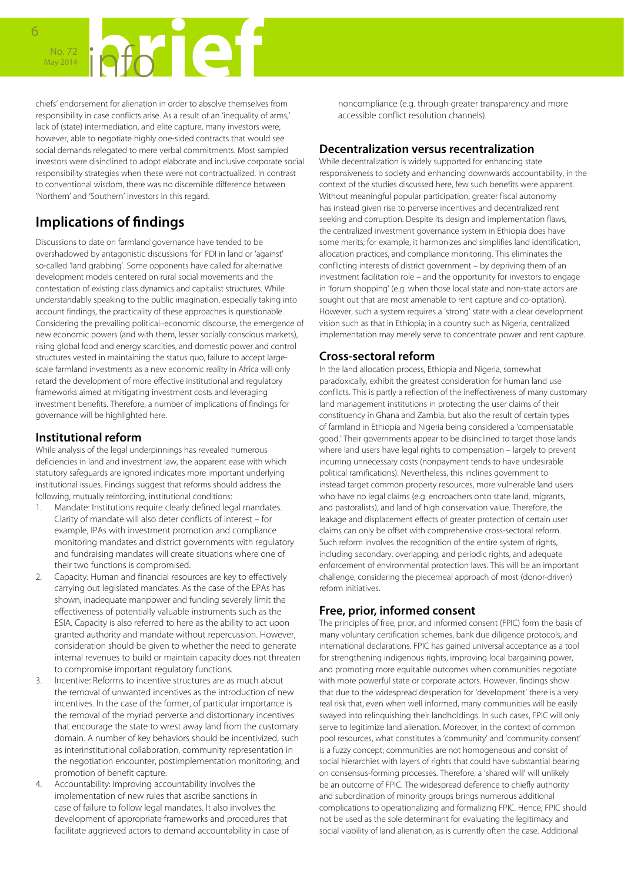chiefs' endorsement for alienation in order to absolve themselves from responsibility in case conflicts arise. As a result of an 'inequality of arms,' lack of (state) intermediation, and elite capture, many investors were, however, able to negotiate highly one-sided contracts that would see social demands relegated to mere verbal commitments. Most sampled investors were disinclined to adopt elaborate and inclusive corporate social responsibility strategies when these were not contractualized. In contrast to conventional wisdom, there was no discernible difference between 'Northern' and 'Southern' investors in this regard.

# **Implications of findings**

Discussions to date on farmland governance have tended to be overshadowed by antagonistic discussions 'for' FDI in land or 'against' so-called 'land grabbing'. Some opponents have called for alternative development models centered on rural social movements and the contestation of existing class dynamics and capitalist structures. While understandably speaking to the public imagination, especially taking into account findings, the practicality of these approaches is questionable. Considering the prevailing political–economic discourse, the emergence of new economic powers (and with them, lesser socially conscious markets), rising global food and energy scarcities, and domestic power and control structures vested in maintaining the status quo, failure to accept largescale farmland investments as a new economic reality in Africa will only retard the development of more effective institutional and regulatory frameworks aimed at mitigating investment costs and leveraging investment benefits. Therefore, a number of implications of findings for governance will be highlighted here.

#### **Institutional reform**

While analysis of the legal underpinnings has revealed numerous deficiencies in land and investment law, the apparent ease with which statutory safeguards are ignored indicates more important underlying institutional issues. Findings suggest that reforms should address the following, mutually reinforcing, institutional conditions:

- 1. Mandate: Institutions require clearly defined legal mandates. Clarity of mandate will also deter conflicts of interest – for example, IPAs with investment promotion and compliance monitoring mandates and district governments with regulatory and fundraising mandates will create situations where one of their two functions is compromised.
- 2. Capacity: Human and financial resources are key to effectively carrying out legislated mandates. As the case of the EPAs has shown, inadequate manpower and funding severely limit the effectiveness of potentially valuable instruments such as the ESIA. Capacity is also referred to here as the ability to act upon granted authority and mandate without repercussion. However, consideration should be given to whether the need to generate internal revenues to build or maintain capacity does not threaten to compromise important regulatory functions.
- 3. Incentive: Reforms to incentive structures are as much about the removal of unwanted incentives as the introduction of new incentives. In the case of the former, of particular importance is the removal of the myriad perverse and distortionary incentives that encourage the state to wrest away land from the customary domain. A number of key behaviors should be incentivized, such as interinstitutional collaboration, community representation in the negotiation encounter, postimplementation monitoring, and promotion of benefit capture.
- 4. Accountability: Improving accountability involves the implementation of new rules that ascribe sanctions in case of failure to follow legal mandates. It also involves the development of appropriate frameworks and procedures that facilitate aggrieved actors to demand accountability in case of

noncompliance (e.g. through greater transparency and more accessible conflict resolution channels).

#### **Decentralization versus recentralization**

While decentralization is widely supported for enhancing state responsiveness to society and enhancing downwards accountability, in the context of the studies discussed here, few such benefits were apparent. Without meaningful popular participation, greater fiscal autonomy has instead given rise to perverse incentives and decentralized rent seeking and corruption. Despite its design and implementation flaws, the centralized investment governance system in Ethiopia does have some merits; for example, it harmonizes and simplifies land identification, allocation practices, and compliance monitoring. This eliminates the conflicting interests of district government – by depriving them of an investment facilitation role – and the opportunity for investors to engage in 'forum shopping' (e.g. when those local state and non-state actors are sought out that are most amenable to rent capture and co-optation). However, such a system requires a 'strong' state with a clear development vision such as that in Ethiopia; in a country such as Nigeria, centralized implementation may merely serve to concentrate power and rent capture.

### **Cross-sectoral reform**

In the land allocation process, Ethiopia and Nigeria, somewhat paradoxically, exhibit the greatest consideration for human land use conflicts. This is partly a reflection of the ineffectiveness of many customary land management institutions in protecting the user claims of their constituency in Ghana and Zambia, but also the result of certain types of farmland in Ethiopia and Nigeria being considered a 'compensatable good.' Their governments appear to be disinclined to target those lands where land users have legal rights to compensation – largely to prevent incurring unnecessary costs (nonpayment tends to have undesirable political ramifications). Nevertheless, this inclines government to instead target common property resources, more vulnerable land users who have no legal claims (e.g. encroachers onto state land, migrants, and pastoralists), and land of high conservation value. Therefore, the leakage and displacement effects of greater protection of certain user claims can only be offset with comprehensive cross-sectoral reform. Such reform involves the recognition of the entire system of rights, including secondary, overlapping, and periodic rights, and adequate enforcement of environmental protection laws. This will be an important challenge, considering the piecemeal approach of most (donor-driven) reform initiatives.

### **Free, prior, informed consent**

The principles of free, prior, and informed consent (FPIC) form the basis of many voluntary certification schemes, bank due diligence protocols, and international declarations. FPIC has gained universal acceptance as a tool for strengthening indigenous rights, improving local bargaining power, and promoting more equitable outcomes when communities negotiate with more powerful state or corporate actors. However, findings show that due to the widespread desperation for 'development' there is a very real risk that, even when well informed, many communities will be easily swayed into relinquishing their landholdings. In such cases, FPIC will only serve to legitimize land alienation. Moreover, in the context of common pool resources, what constitutes a 'community' and 'community consent' is a fuzzy concept; communities are not homogeneous and consist of social hierarchies with layers of rights that could have substantial bearing on consensus-forming processes. Therefore, a 'shared will' will unlikely be an outcome of FPIC. The widespread deference to chiefly authority and subordination of minority groups brings numerous additional complications to operationalizing and formalizing FPIC. Hence, FPIC should not be used as the sole determinant for evaluating the legitimacy and social viability of land alienation, as is currently often the case. Additional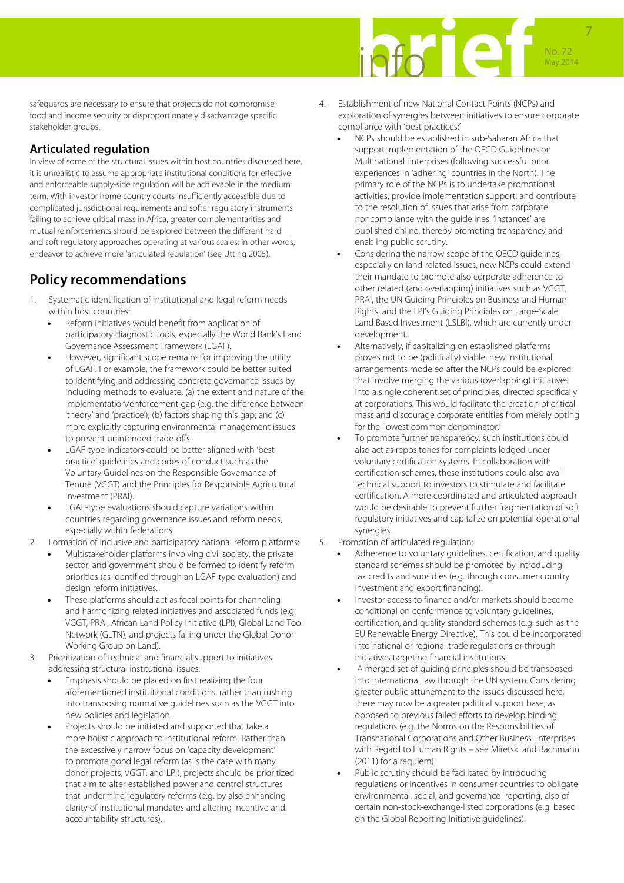

safeguards are necessary to ensure that projects do not compromise food and income security or disproportionately disadvantage specific stakeholder groups.

### **Articulated regulation**

In view of some of the structural issues within host countries discussed here, it is unrealistic to assume appropriate institutional conditions for effective and enforceable supply-side regulation will be achievable in the medium term. With investor home country courts insufficiently accessible due to complicated jurisdictional requirements and softer regulatory instruments failing to achieve critical mass in Africa, greater complementarities and mutual reinforcements should be explored between the different hard and soft regulatory approaches operating at various scales; in other words, endeavor to achieve more 'articulated regulation' (see Utting 2005).

## **Policy recommendations**

- 1. Systematic identification of institutional and legal reform needs within host countries:
	- Reform initiatives would benefit from application of participatory diagnostic tools, especially the World Bank's Land Governance Assessment Framework (LGAF).
	- However, significant scope remains for improving the utility of LGAF. For example, the framework could be better suited to identifying and addressing concrete governance issues by including methods to evaluate: (a) the extent and nature of the implementation/enforcement gap (e.g. the difference between 'theory' and 'practice'); (b) factors shaping this gap; and (c) more explicitly capturing environmental management issues to prevent unintended trade-offs.
	- LGAF-type indicators could be better aligned with 'best practice' guidelines and codes of conduct such as the Voluntary Guidelines on the Responsible Governance of Tenure (VGGT) and the Principles for Responsible Agricultural Investment (PRAI).
	- LGAF-type evaluations should capture variations within countries regarding governance issues and reform needs, especially within federations.
- 2. Formation of inclusive and participatory national reform platforms:
	- Multistakeholder platforms involving civil society, the private sector, and government should be formed to identify reform priorities (as identified through an LGAF-type evaluation) and design reform initiatives.
	- These platforms should act as focal points for channeling and harmonizing related initiatives and associated funds (e.g. VGGT, PRAI, African Land Policy Initiative (LPI), Global Land Tool Network (GLTN), and projects falling under the Global Donor Working Group on Land).
- 3. Prioritization of technical and financial support to initiatives addressing structural institutional issues:
	- Emphasis should be placed on first realizing the four aforementioned institutional conditions, rather than rushing into transposing normative guidelines such as the VGGT into new policies and legislation.
	- Projects should be initiated and supported that take a more holistic approach to institutional reform. Rather than the excessively narrow focus on 'capacity development' to promote good legal reform (as is the case with many donor projects, VGGT, and LPI), projects should be prioritized that aim to alter established power and control structures that undermine regulatory reforms (e.g. by also enhancing clarity of institutional mandates and altering incentive and accountability structures).
- 4. Establishment of new National Contact Points (NCPs) and exploration of synergies between initiatives to ensure corporate compliance with 'best practices:'
	- NCPs should be established in sub-Saharan Africa that support implementation of the OECD Guidelines on Multinational Enterprises (following successful prior experiences in 'adhering' countries in the North). The primary role of the NCPs is to undertake promotional activities, provide implementation support, and contribute to the resolution of issues that arise from corporate noncompliance with the guidelines. 'Instances' are published online, thereby promoting transparency and enabling public scrutiny.
	- Considering the narrow scope of the OECD guidelines, especially on land-related issues, new NCPs could extend their mandate to promote also corporate adherence to other related (and overlapping) initiatives such as VGGT, PRAI, the UN Guiding Principles on Business and Human Rights, and the LPI's Guiding Principles on Large-Scale Land Based Investment (LSLBI), which are currently under development.
	- Alternatively, if capitalizing on established platforms proves not to be (politically) viable, new institutional arrangements modeled after the NCPs could be explored that involve merging the various (overlapping) initiatives into a single coherent set of principles, directed specifically at corporations. This would facilitate the creation of critical mass and discourage corporate entities from merely opting for the 'lowest common denominator.'
	- To promote further transparency, such institutions could also act as repositories for complaints lodged under voluntary certification systems. In collaboration with certification schemes, these institutions could also avail technical support to investors to stimulate and facilitate certification. A more coordinated and articulated approach would be desirable to prevent further fragmentation of soft regulatory initiatives and capitalize on potential operational synergies.
- 5. Promotion of articulated regulation:
	- Adherence to voluntary guidelines, certification, and quality standard schemes should be promoted by introducing tax credits and subsidies (e.g. through consumer country investment and export financing).
	- Investor access to finance and/or markets should become conditional on conformance to voluntary guidelines, certification, and quality standard schemes (e.g. such as the EU Renewable Energy Directive). This could be incorporated into national or regional trade regulations or through initiatives targeting financial institutions.
	- A merged set of guiding principles should be transposed into international law through the UN system. Considering greater public attunement to the issues discussed here, there may now be a greater political support base, as opposed to previous failed efforts to develop binding regulations (e.g. the Norms on the Responsibilities of Transnational Corporations and Other Business Enterprises with Regard to Human Rights – see Miretski and Bachmann (2011) for a requiem).
	- Public scrutiny should be facilitated by introducing regulations or incentives in consumer countries to obligate environmental, social, and governance reporting, also of certain non-stock-exchange-listed corporations (e.g. based on the Global Reporting Initiative guidelines).